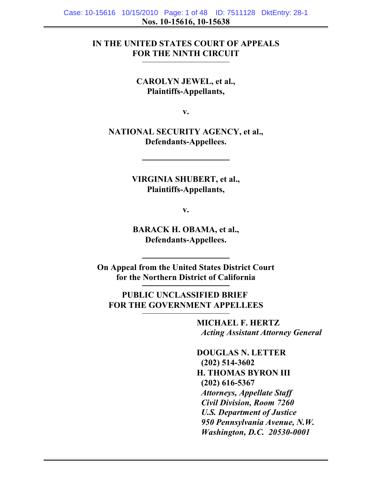# **IN THE UNITED STATES COURT OF APPEALS FOR THE NINTH CIRCUIT**

**CAROLYN JEWEL, et al., Plaintiffs-Appellants,**

**v.**

**NATIONAL SECURITY AGENCY, et al., Defendants-Appellees.**

> **VIRGINIA SHUBERT, et al., Plaintiffs-Appellants,**

> > **v.**

**BARACK H. OBAMA, et al., Defendants-Appellees.**

**On Appeal from the United States District Court for the Northern District of California**

**PUBLIC UNCLASSIFIED BRIEF FOR THE GOVERNMENT APPELLEES**

> **MICHAEL F. HERTZ** *Acting Assistant Attorney General*

**DOUGLAS N. LETTER (202) 514-3602 H. THOMAS BYRON III (202) 616-5367** *Attorneys, Appellate Staff Civil Division, Room 7260 U.S. Department of Justice 950 Pennsylvania Avenue, N.W. Washington, D.C. 20530-0001*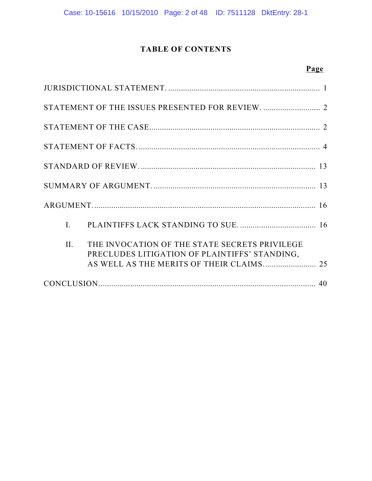Case: 10-15616 10/15/2010 Page: 2 of 48 ID: 7511128 DktEntry: 28-1

# **TABLE OF CONTENTS**

# **Page**

| $\mathbf{I}$ . |                                                                                                |  |
|----------------|------------------------------------------------------------------------------------------------|--|
| II.            | THE INVOCATION OF THE STATE SECRETS PRIVILEGE<br>PRECLUDES LITIGATION OF PLAINTIFFS' STANDING, |  |
|                |                                                                                                |  |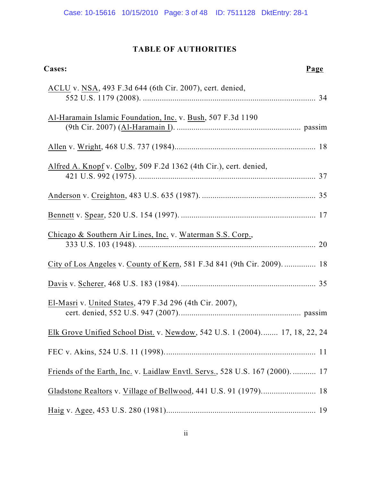# **TABLE OF AUTHORITIES**

| Cases:                                                                        | Page |
|-------------------------------------------------------------------------------|------|
| ACLU v. NSA, 493 F.3d 644 (6th Cir. 2007), cert. denied,                      |      |
| Al-Haramain Islamic Foundation, Inc. v. Bush, 507 F.3d 1190                   |      |
|                                                                               |      |
| Alfred A. Knopf v. Colby, 509 F.2d 1362 (4th Cir.), cert. denied,             |      |
|                                                                               |      |
|                                                                               |      |
| Chicago & Southern Air Lines, Inc. v. Waterman S.S. Corp.,                    |      |
| City of Los Angeles v. County of Kern, 581 F.3d 841 (9th Cir. 2009).  18      |      |
|                                                                               |      |
| El-Masri v. United States, 479 F.3d 296 (4th Cir. 2007),                      |      |
| Elk Grove Unified School Dist. v. Newdow, 542 U.S. 1 (2004) 17, 18, 22, 24    |      |
|                                                                               |      |
| Friends of the Earth, Inc. v. Laidlaw Envtl. Servs., 528 U.S. 167 (2000).  17 |      |
| Gladstone Realtors v. Village of Bellwood, 441 U.S. 91 (1979) 18              |      |
|                                                                               |      |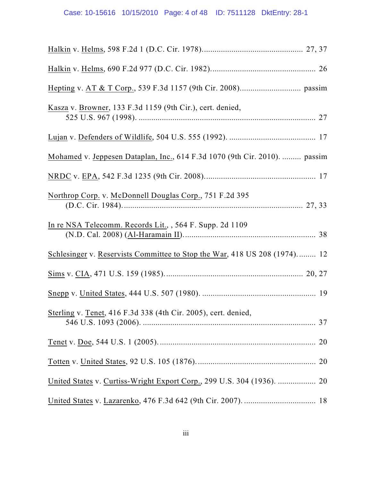| Kasza v. Browner, 133 F.3d 1159 (9th Cir.), cert. denied,                  |
|----------------------------------------------------------------------------|
|                                                                            |
| Mohamed v. Jeppesen Dataplan, Inc., 614 F.3d 1070 (9th Cir. 2010).  passim |
|                                                                            |
| Northrop Corp. v. McDonnell Douglas Corp., 751 F.2d 395                    |
| In re NSA Telecomm. Records Lit., , 564 F. Supp. 2d 1109                   |
| Schlesinger v. Reservists Committee to Stop the War, 418 US 208 (1974) 12  |
|                                                                            |
|                                                                            |
| Sterling v. Tenet, 416 F.3d 338 (4th Cir. 2005), cert. denied,             |
|                                                                            |
|                                                                            |
| United States v. Curtiss-Wright Export Corp., 299 U.S. 304 (1936).  20     |
|                                                                            |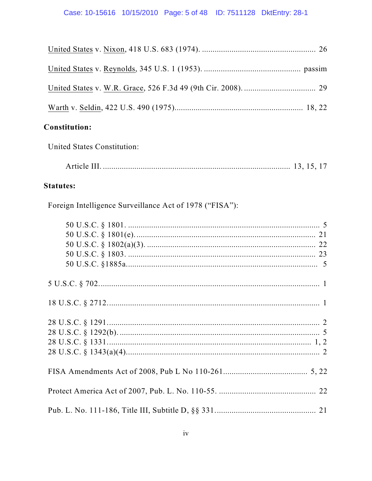| <b>Constitution:</b>                                    |
|---------------------------------------------------------|
| United States Constitution:                             |
|                                                         |
| <b>Statutes:</b>                                        |
| Foreign Intelligence Surveillance Act of 1978 ("FISA"): |
|                                                         |
|                                                         |
|                                                         |
|                                                         |
|                                                         |
|                                                         |
|                                                         |
|                                                         |
|                                                         |
|                                                         |
|                                                         |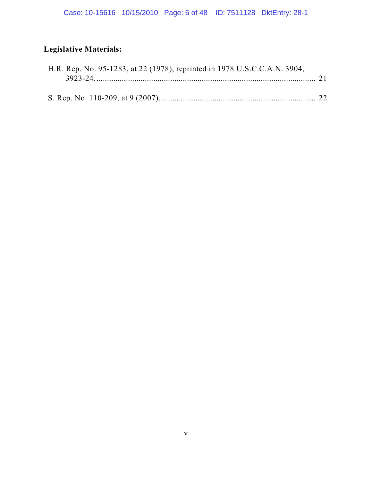# **Legislative Materials:**

| H.R. Rep. No. 95-1283, at 22 (1978), reprinted in 1978 U.S.C.C.A.N. 3904, |  |
|---------------------------------------------------------------------------|--|
|                                                                           |  |
|                                                                           |  |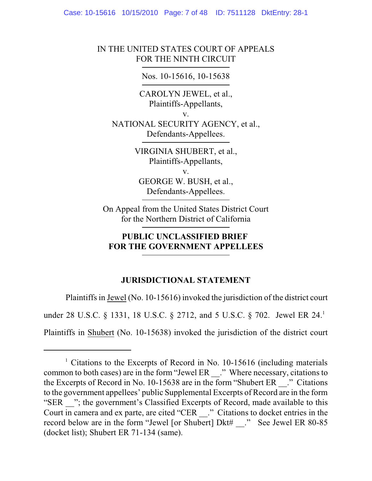Case: 10-15616 10/15/2010 Page: 7 of 48 ID: 7511128 DktEntry: 28-1

# IN THE UNITED STATES COURT OF APPEALS FOR THE NINTH CIRCUIT

# Nos. 10-15616, 10-15638

CAROLYN JEWEL, et al., Plaintiffs-Appellants,

v.

NATIONAL SECURITY AGENCY, et al., Defendants-Appellees.

> VIRGINIA SHUBERT, et al., Plaintiffs-Appellants, v. GEORGE W. BUSH, et al., Defendants-Appellees.

On Appeal from the United States District Court for the Northern District of California

# **PUBLIC UNCLASSIFIED BRIEF FOR THE GOVERNMENT APPELLEES**

# **JURISDICTIONAL STATEMENT**

Plaintiffs in Jewel (No. 10-15616) invoked the jurisdiction of the district court under 28 U.S.C. § 1331, 18 U.S.C. § 2712, and 5 U.S.C. § 702. Jewel ER 24.<sup>1</sup>

Plaintiffs in Shubert (No. 10-15638) invoked the jurisdiction of the district court

 $1$  Citations to the Excerpts of Record in No. 10-15616 (including materials common to both cases) are in the form "Jewel ER \_\_." Where necessary, citations to the Excerpts of Record in No. 10-15638 are in the form "Shubert ER \_\_." Citations to the government appellees' public Supplemental Excerpts of Record are in the form "SER <sup>"</sup>; the government's Classified Excerpts of Record, made available to this Court in camera and ex parte, are cited "CER \_\_." Citations to docket entries in the record below are in the form "Jewel [or Shubert] Dkt# ." See Jewel ER 80-85 (docket list); Shubert ER 71-134 (same).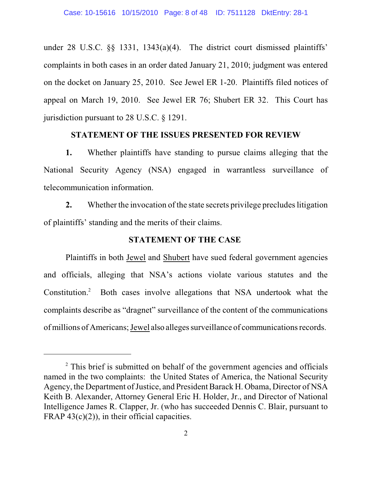under 28 U.S.C. §§ 1331, 1343(a)(4). The district court dismissed plaintiffs' complaints in both cases in an order dated January 21, 2010; judgment was entered on the docket on January 25, 2010. See Jewel ER 1-20. Plaintiffs filed notices of appeal on March 19, 2010. See Jewel ER 76; Shubert ER 32. This Court has jurisdiction pursuant to 28 U.S.C. § 1291.

# **STATEMENT OF THE ISSUES PRESENTED FOR REVIEW**

**1.** Whether plaintiffs have standing to pursue claims alleging that the National Security Agency (NSA) engaged in warrantless surveillance of telecommunication information.

**2.** Whether the invocation of the state secrets privilege precludes litigation of plaintiffs' standing and the merits of their claims.

### **STATEMENT OF THE CASE**

Plaintiffs in both Jewel and Shubert have sued federal government agencies and officials, alleging that NSA's actions violate various statutes and the Constitution. $2$  Both cases involve allegations that NSA undertook what the complaints describe as "dragnet" surveillance of the content of the communications ofmillions of Americans;Jewel also alleges surveillance of communicationsrecords.

<sup>&</sup>lt;sup>2</sup> This brief is submitted on behalf of the government agencies and officials named in the two complaints: the United States of America, the National Security Agency, the Department of Justice, and President Barack H. Obama, Director of NSA Keith B. Alexander, Attorney General Eric H. Holder, Jr., and Director of National Intelligence James R. Clapper, Jr. (who has succeeded Dennis C. Blair, pursuant to FRAP  $43(c)(2)$ , in their official capacities.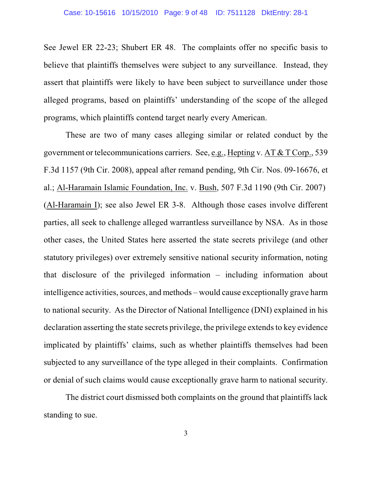See Jewel ER 22-23; Shubert ER 48. The complaints offer no specific basis to believe that plaintiffs themselves were subject to any surveillance. Instead, they assert that plaintiffs were likely to have been subject to surveillance under those alleged programs, based on plaintiffs' understanding of the scope of the alleged programs, which plaintiffs contend target nearly every American.

These are two of many cases alleging similar or related conduct by the government or telecommunications carriers. See, e.g., Hepting v. AT & T Corp., 539 F.3d 1157 (9th Cir. 2008), appeal after remand pending, 9th Cir. Nos. 09-16676, et al.; Al-Haramain Islamic Foundation, Inc. v. Bush, 507 F.3d 1190 (9th Cir. 2007) (Al-Haramain I); see also Jewel ER 3-8. Although those cases involve different parties, all seek to challenge alleged warrantless surveillance by NSA. As in those other cases, the United States here asserted the state secrets privilege (and other statutory privileges) over extremely sensitive national security information, noting that disclosure of the privileged information – including information about intelligence activities, sources, and methods – would cause exceptionally grave harm to national security. As the Director of National Intelligence (DNI) explained in his declaration asserting the state secrets privilege, the privilege extends to key evidence implicated by plaintiffs' claims, such as whether plaintiffs themselves had been subjected to any surveillance of the type alleged in their complaints. Confirmation or denial of such claims would cause exceptionally grave harm to national security.

The district court dismissed both complaints on the ground that plaintiffs lack standing to sue.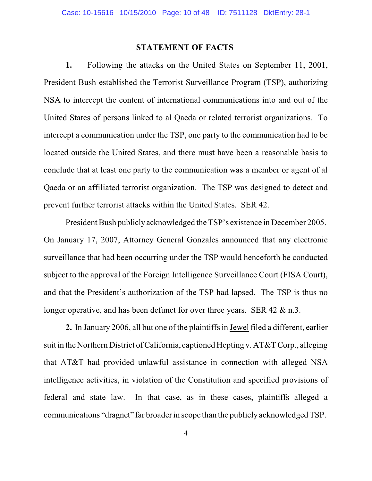#### **STATEMENT OF FACTS**

**1.** Following the attacks on the United States on September 11, 2001, President Bush established the Terrorist Surveillance Program (TSP), authorizing NSA to intercept the content of international communications into and out of the United States of persons linked to al Qaeda or related terrorist organizations. To intercept a communication under the TSP, one party to the communication had to be located outside the United States, and there must have been a reasonable basis to conclude that at least one party to the communication was a member or agent of al Qaeda or an affiliated terrorist organization. The TSP was designed to detect and prevent further terrorist attacks within the United States. SER 42.

President Bush publiclyacknowledged the TSP's existence in December 2005. On January 17, 2007, Attorney General Gonzales announced that any electronic surveillance that had been occurring under the TSP would henceforth be conducted subject to the approval of the Foreign Intelligence Surveillance Court (FISA Court), and that the President's authorization of the TSP had lapsed. The TSP is thus no longer operative, and has been defunct for over three years. SER 42 & n.3.

**2.** In January 2006, all but one of the plaintiffs in Jewel filed a different, earlier suit in the Northern District of California, captioned Hepting v. AT&T Corp., alleging that AT&T had provided unlawful assistance in connection with alleged NSA intelligence activities, in violation of the Constitution and specified provisions of federal and state law. In that case, as in these cases, plaintiffs alleged a communications "dragnet" far broader in scope than the publicly acknowledged TSP.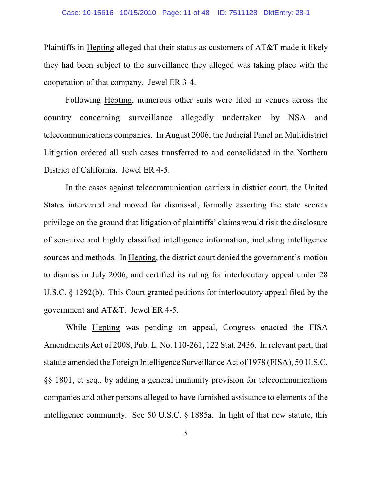## Case: 10-15616 10/15/2010 Page: 11 of 48 ID: 7511128 DktEntry: 28-1

Plaintiffs in Hepting alleged that their status as customers of AT&T made it likely they had been subject to the surveillance they alleged was taking place with the cooperation of that company. Jewel ER 3-4.

Following Hepting, numerous other suits were filed in venues across the country concerning surveillance allegedly undertaken by NSA and telecommunications companies. In August 2006, the Judicial Panel on Multidistrict Litigation ordered all such cases transferred to and consolidated in the Northern District of California. Jewel ER 4-5.

In the cases against telecommunication carriers in district court, the United States intervened and moved for dismissal, formally asserting the state secrets privilege on the ground that litigation of plaintiffs' claims would risk the disclosure of sensitive and highly classified intelligence information, including intelligence sources and methods. In Hepting, the district court denied the government's motion to dismiss in July 2006, and certified its ruling for interlocutory appeal under 28 U.S.C. § 1292(b). This Court granted petitions for interlocutory appeal filed by the government and AT&T. Jewel ER 4-5.

While Hepting was pending on appeal, Congress enacted the FISA Amendments Act of 2008, Pub. L. No. 110-261, 122 Stat. 2436. In relevant part, that statute amended the Foreign Intelligence Surveillance Act of 1978 (FISA), 50 U.S.C. §§ 1801, et seq., by adding a general immunity provision for telecommunications companies and other persons alleged to have furnished assistance to elements of the intelligence community. See 50 U.S.C. § 1885a. In light of that new statute, this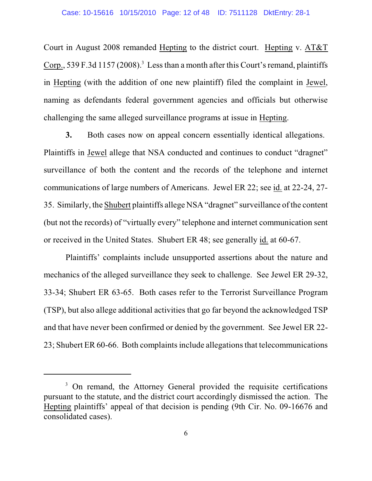Court in August 2008 remanded Hepting to the district court. Hepting v. AT&T Corp., 539 F.3d 1157 (2008).<sup>3</sup> Less than a month after this Court's remand, plaintiffs in Hepting (with the addition of one new plaintiff) filed the complaint in Jewel, naming as defendants federal government agencies and officials but otherwise challenging the same alleged surveillance programs at issue in Hepting.

**3.** Both cases now on appeal concern essentially identical allegations. Plaintiffs in Jewel allege that NSA conducted and continues to conduct "dragnet" surveillance of both the content and the records of the telephone and internet communications of large numbers of Americans. Jewel ER 22; see id. at 22-24, 27- 35. Similarly, the Shubert plaintiffs allege NSA "dragnet" surveillance of the content (but not the records) of "virtually every" telephone and internet communication sent or received in the United States. Shubert ER 48; see generally id. at 60-67.

Plaintiffs' complaints include unsupported assertions about the nature and mechanics of the alleged surveillance they seek to challenge. See Jewel ER 29-32, 33-34; Shubert ER 63-65. Both cases refer to the Terrorist Surveillance Program (TSP), but also allege additional activities that go far beyond the acknowledged TSP and that have never been confirmed or denied by the government. See Jewel ER 22- 23; Shubert ER 60-66. Both complaints include allegations that telecommunications

<sup>&</sup>lt;sup>3</sup> On remand, the Attorney General provided the requisite certifications pursuant to the statute, and the district court accordingly dismissed the action. The Hepting plaintiffs' appeal of that decision is pending (9th Cir. No. 09-16676 and consolidated cases).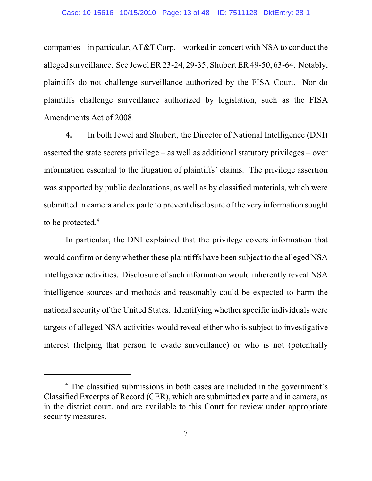companies – in particular, AT&T Corp. – worked in concert with NSA to conduct the alleged surveillance. See Jewel ER 23-24, 29-35; Shubert ER 49-50, 63-64. Notably, plaintiffs do not challenge surveillance authorized by the FISA Court. Nor do plaintiffs challenge surveillance authorized by legislation, such as the FISA Amendments Act of 2008.

**4.** In both Jewel and Shubert, the Director of National Intelligence (DNI) asserted the state secrets privilege – as well as additional statutory privileges – over information essential to the litigation of plaintiffs' claims. The privilege assertion was supported by public declarations, as well as by classified materials, which were submitted in camera and ex parte to prevent disclosure of the very information sought to be protected. 4

In particular, the DNI explained that the privilege covers information that would confirm or deny whether these plaintiffs have been subject to the alleged NSA intelligence activities. Disclosure of such information would inherently reveal NSA intelligence sources and methods and reasonably could be expected to harm the national security of the United States. Identifying whether specific individuals were targets of alleged NSA activities would reveal either who is subject to investigative interest (helping that person to evade surveillance) or who is not (potentially

<sup>&</sup>lt;sup>4</sup> The classified submissions in both cases are included in the government's Classified Excerpts of Record (CER), which are submitted ex parte and in camera, as in the district court, and are available to this Court for review under appropriate security measures.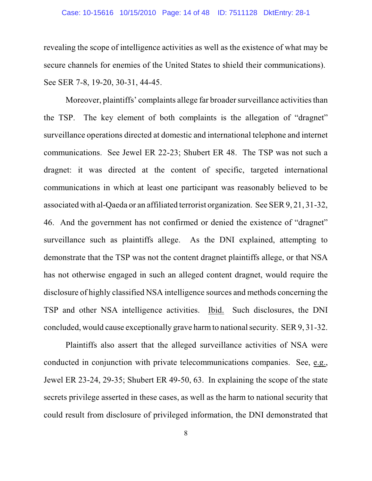## Case: 10-15616 10/15/2010 Page: 14 of 48 ID: 7511128 DktEntry: 28-1

revealing the scope of intelligence activities as well as the existence of what may be secure channels for enemies of the United States to shield their communications). See SER 7-8, 19-20, 30-31, 44-45.

Moreover, plaintiffs' complaints allege far broader surveillance activities than the TSP. The key element of both complaints is the allegation of "dragnet" surveillance operations directed at domestic and international telephone and internet communications. See Jewel ER 22-23; Shubert ER 48. The TSP was not such a dragnet: it was directed at the content of specific, targeted international communications in which at least one participant was reasonably believed to be associated with al-Qaeda or an affiliated terrorist organization. See SER 9, 21, 31-32, 46. And the government has not confirmed or denied the existence of "dragnet" surveillance such as plaintiffs allege. As the DNI explained, attempting to demonstrate that the TSP was not the content dragnet plaintiffs allege, or that NSA has not otherwise engaged in such an alleged content dragnet, would require the disclosure of highly classified NSA intelligence sources and methods concerning the TSP and other NSA intelligence activities. Ibid. Such disclosures, the DNI concluded, would cause exceptionally grave harmto nationalsecurity. SER 9, 31-32.

Plaintiffs also assert that the alleged surveillance activities of NSA were conducted in conjunction with private telecommunications companies. See, e.g., Jewel ER 23-24, 29-35; Shubert ER 49-50, 63. In explaining the scope of the state secrets privilege asserted in these cases, as well as the harm to national security that could result from disclosure of privileged information, the DNI demonstrated that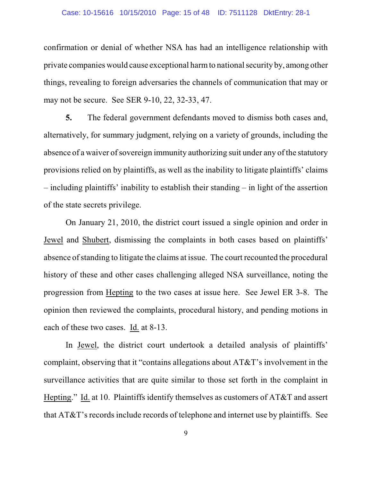## Case: 10-15616 10/15/2010 Page: 15 of 48 ID: 7511128 DktEntry: 28-1

confirmation or denial of whether NSA has had an intelligence relationship with private companies would cause exceptional harmto nationalsecurity by, among other things, revealing to foreign adversaries the channels of communication that may or may not be secure. See SER 9-10, 22, 32-33, 47.

**5.** The federal government defendants moved to dismiss both cases and, alternatively, for summary judgment, relying on a variety of grounds, including the absence of a waiver of sovereign immunity authorizing suit under any of the statutory provisions relied on by plaintiffs, as well as the inability to litigate plaintiffs' claims – including plaintiffs' inability to establish their standing – in light of the assertion of the state secrets privilege.

On January 21, 2010, the district court issued a single opinion and order in Jewel and Shubert, dismissing the complaints in both cases based on plaintiffs' absence of standing to litigate the claims at issue. The court recounted the procedural history of these and other cases challenging alleged NSA surveillance, noting the progression from Hepting to the two cases at issue here. See Jewel ER 3-8. The opinion then reviewed the complaints, procedural history, and pending motions in each of these two cases. Id. at 8-13.

In Jewel, the district court undertook a detailed analysis of plaintiffs' complaint, observing that it "contains allegations about AT&T's involvement in the surveillance activities that are quite similar to those set forth in the complaint in Hepting." Id. at 10. Plaintiffs identify themselves as customers of AT&T and assert that AT&T's records include records of telephone and internet use by plaintiffs. See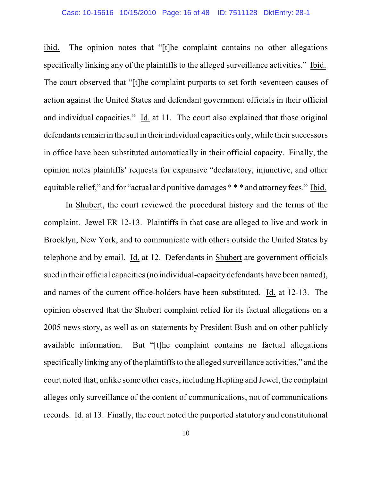#### Case: 10-15616 10/15/2010 Page: 16 of 48 ID: 7511128 DktEntry: 28-1

ibid. The opinion notes that "[t]he complaint contains no other allegations specifically linking any of the plaintiffs to the alleged surveillance activities." Ibid. The court observed that "[t]he complaint purports to set forth seventeen causes of action against the United States and defendant government officials in their official and individual capacities." Id. at 11. The court also explained that those original defendants remain in the suit in their individual capacities only, while their successors in office have been substituted automatically in their official capacity. Finally, the opinion notes plaintiffs' requests for expansive "declaratory, injunctive, and other equitable relief," and for "actual and punitive damages \* \* \* and attorney fees." Ibid.

In Shubert, the court reviewed the procedural history and the terms of the complaint. Jewel ER 12-13. Plaintiffs in that case are alleged to live and work in Brooklyn, New York, and to communicate with others outside the United States by telephone and by email. Id. at 12. Defendants in Shubert are government officials sued in their official capacities(no individual-capacity defendants have been named), and names of the current office-holders have been substituted. Id. at 12-13. The opinion observed that the Shubert complaint relied for its factual allegations on a 2005 news story, as well as on statements by President Bush and on other publicly available information. But "[t]he complaint contains no factual allegations specifically linking any of the plaintiffs to the alleged surveillance activities," and the court noted that, unlike some other cases, including Hepting and Jewel, the complaint alleges only surveillance of the content of communications, not of communications records. Id. at 13. Finally, the court noted the purported statutory and constitutional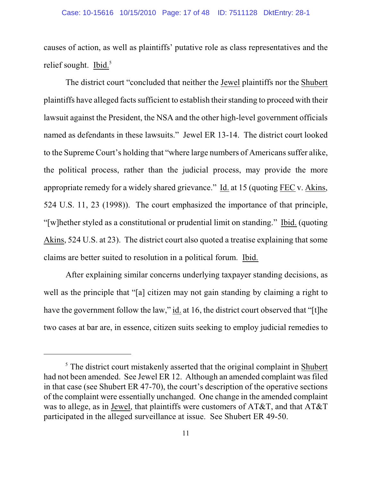#### Case: 10-15616 10/15/2010 Page: 17 of 48 ID: 7511128 DktEntry: 28-1

causes of action, as well as plaintiffs' putative role as class representatives and the relief sought. Ibid. $5$ 

The district court "concluded that neither the Jewel plaintiffs nor the Shubert plaintiffs have alleged facts sufficient to establish their standing to proceed with their lawsuit against the President, the NSA and the other high-level government officials named as defendants in these lawsuits." Jewel ER 13-14. The district court looked to the Supreme Court's holding that "where large numbers of Americans suffer alike, the political process, rather than the judicial process, may provide the more appropriate remedy for a widely shared grievance." Id. at 15 (quoting FEC v. Akins, 524 U.S. 11, 23 (1998)). The court emphasized the importance of that principle, "[w]hether styled as a constitutional or prudential limit on standing." Ibid. (quoting Akins, 524 U.S. at 23). The district court also quoted a treatise explaining that some claims are better suited to resolution in a political forum. Ibid.

After explaining similar concerns underlying taxpayer standing decisions, as well as the principle that "[a] citizen may not gain standing by claiming a right to have the government follow the law," id. at 16, the district court observed that "[t]he two cases at bar are, in essence, citizen suits seeking to employ judicial remedies to

 $<sup>5</sup>$  The district court mistakenly asserted that the original complaint in Shubert</sup> had not been amended. See Jewel ER 12. Although an amended complaint was filed in that case (see Shubert ER 47-70), the court's description of the operative sections of the complaint were essentially unchanged. One change in the amended complaint was to allege, as in Jewel, that plaintiffs were customers of AT&T, and that AT&T participated in the alleged surveillance at issue. See Shubert ER 49-50.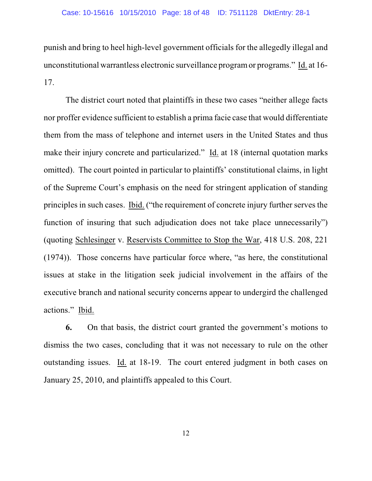### Case: 10-15616 10/15/2010 Page: 18 of 48 ID: 7511128 DktEntry: 28-1

punish and bring to heel high-level government officials for the allegedly illegal and unconstitutional warrantless electronic surveillance programor programs." Id. at 16- 17.

The district court noted that plaintiffs in these two cases "neither allege facts nor proffer evidence sufficient to establish a prima facie case that would differentiate them from the mass of telephone and internet users in the United States and thus make their injury concrete and particularized." Id. at 18 (internal quotation marks omitted). The court pointed in particular to plaintiffs' constitutional claims, in light of the Supreme Court's emphasis on the need for stringent application of standing principles in such cases. Ibid. ("the requirement of concrete injury further serves the function of insuring that such adjudication does not take place unnecessarily") (quoting Schlesinger v. Reservists Committee to Stop the War, 418 U.S. 208, 221 (1974)). Those concerns have particular force where, "as here, the constitutional issues at stake in the litigation seek judicial involvement in the affairs of the executive branch and national security concerns appear to undergird the challenged actions." Ibid.

**6.** On that basis, the district court granted the government's motions to dismiss the two cases, concluding that it was not necessary to rule on the other outstanding issues. Id. at 18-19. The court entered judgment in both cases on January 25, 2010, and plaintiffs appealed to this Court.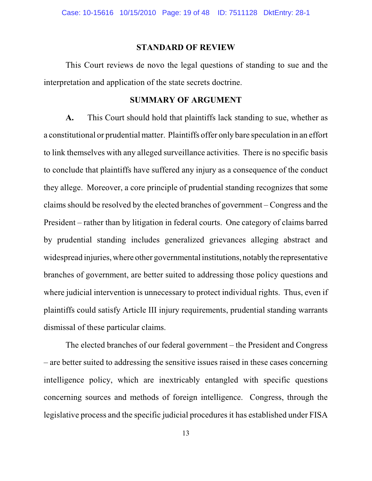#### **STANDARD OF REVIEW**

This Court reviews de novo the legal questions of standing to sue and the interpretation and application of the state secrets doctrine.

### **SUMMARY OF ARGUMENT**

**A.** This Court should hold that plaintiffs lack standing to sue, whether as a constitutional or prudential matter. Plaintiffs offer only bare speculation in an effort to link themselves with any alleged surveillance activities. There is no specific basis to conclude that plaintiffs have suffered any injury as a consequence of the conduct they allege. Moreover, a core principle of prudential standing recognizes that some claims should be resolved by the elected branches of government – Congress and the President – rather than by litigation in federal courts. One category of claims barred by prudential standing includes generalized grievances alleging abstract and widespread injuries, where other governmental institutions, notablythe representative branches of government, are better suited to addressing those policy questions and where judicial intervention is unnecessary to protect individual rights. Thus, even if plaintiffs could satisfy Article III injury requirements, prudential standing warrants dismissal of these particular claims.

The elected branches of our federal government – the President and Congress – are better suited to addressing the sensitive issues raised in these cases concerning intelligence policy, which are inextricably entangled with specific questions concerning sources and methods of foreign intelligence. Congress, through the legislative process and the specific judicial procedures it has established under FISA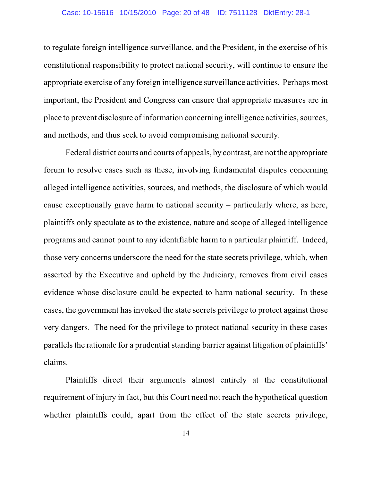### Case: 10-15616 10/15/2010 Page: 20 of 48 ID: 7511128 DktEntry: 28-1

to regulate foreign intelligence surveillance, and the President, in the exercise of his constitutional responsibility to protect national security, will continue to ensure the appropriate exercise of any foreign intelligence surveillance activities. Perhaps most important, the President and Congress can ensure that appropriate measures are in place to prevent disclosure of information concerning intelligence activities, sources, and methods, and thus seek to avoid compromising national security.

Federal district courts and courts of appeals, by contrast, are not the appropriate forum to resolve cases such as these, involving fundamental disputes concerning alleged intelligence activities, sources, and methods, the disclosure of which would cause exceptionally grave harm to national security – particularly where, as here, plaintiffs only speculate as to the existence, nature and scope of alleged intelligence programs and cannot point to any identifiable harm to a particular plaintiff. Indeed, those very concerns underscore the need for the state secrets privilege, which, when asserted by the Executive and upheld by the Judiciary, removes from civil cases evidence whose disclosure could be expected to harm national security. In these cases, the government has invoked the state secrets privilege to protect against those very dangers. The need for the privilege to protect national security in these cases parallels the rationale for a prudential standing barrier against litigation of plaintiffs' claims.

Plaintiffs direct their arguments almost entirely at the constitutional requirement of injury in fact, but this Court need not reach the hypothetical question whether plaintiffs could, apart from the effect of the state secrets privilege,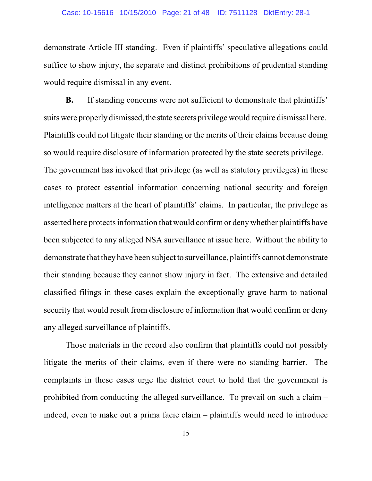## Case: 10-15616 10/15/2010 Page: 21 of 48 ID: 7511128 DktEntry: 28-1

demonstrate Article III standing. Even if plaintiffs' speculative allegations could suffice to show injury, the separate and distinct prohibitions of prudential standing would require dismissal in any event.

**B.** If standing concerns were not sufficient to demonstrate that plaintiffs' suits were properly dismissed, the state secrets privilege would require dismissal here. Plaintiffs could not litigate their standing or the merits of their claims because doing so would require disclosure of information protected by the state secrets privilege. The government has invoked that privilege (as well as statutory privileges) in these cases to protect essential information concerning national security and foreign intelligence matters at the heart of plaintiffs' claims. In particular, the privilege as asserted here protects information that would confirm or deny whether plaintiffs have been subjected to any alleged NSA surveillance at issue here. Without the ability to demonstrate that they have been subject to surveillance, plaintiffs cannot demonstrate their standing because they cannot show injury in fact. The extensive and detailed classified filings in these cases explain the exceptionally grave harm to national security that would result from disclosure of information that would confirm or deny any alleged surveillance of plaintiffs.

Those materials in the record also confirm that plaintiffs could not possibly litigate the merits of their claims, even if there were no standing barrier. The complaints in these cases urge the district court to hold that the government is prohibited from conducting the alleged surveillance. To prevail on such a claim – indeed, even to make out a prima facie claim – plaintiffs would need to introduce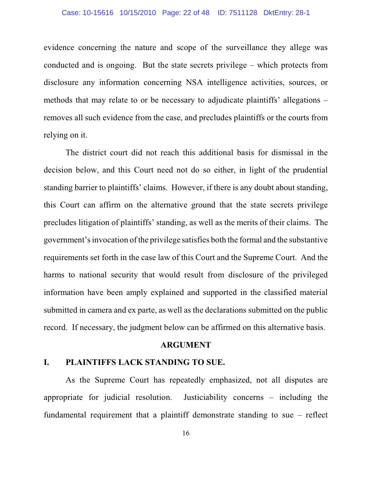### Case: 10-15616 10/15/2010 Page: 22 of 48 ID: 7511128 DktEntry: 28-1

evidence concerning the nature and scope of the surveillance they allege was conducted and is ongoing. But the state secrets privilege – which protects from disclosure any information concerning NSA intelligence activities, sources, or methods that may relate to or be necessary to adjudicate plaintiffs' allegations – removes all such evidence from the case, and precludes plaintiffs or the courts from relying on it.

The district court did not reach this additional basis for dismissal in the decision below, and this Court need not do so either, in light of the prudential standing barrier to plaintiffs' claims. However, if there is any doubt about standing, this Court can affirm on the alternative ground that the state secrets privilege precludes litigation of plaintiffs' standing, as well as the merits of their claims. The government's invocation of the privilege satisfies both the formal and the substantive requirements set forth in the case law of this Court and the Supreme Court. And the harms to national security that would result from disclosure of the privileged information have been amply explained and supported in the classified material submitted in camera and ex parte, as well as the declarations submitted on the public record. If necessary, the judgment below can be affirmed on this alternative basis.

### **ARGUMENT**

# **I. PLAINTIFFS LACK STANDING TO SUE.**

As the Supreme Court has repeatedly emphasized, not all disputes are appropriate for judicial resolution. Justiciability concerns – including the fundamental requirement that a plaintiff demonstrate standing to sue – reflect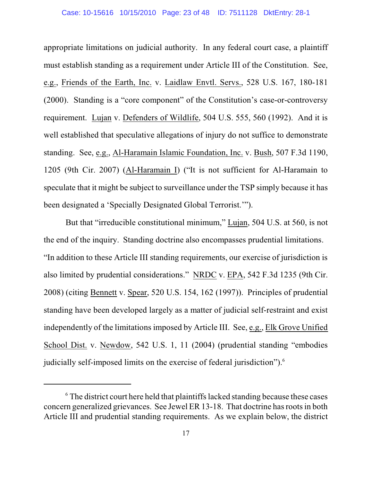#### Case: 10-15616 10/15/2010 Page: 23 of 48 ID: 7511128 DktEntry: 28-1

appropriate limitations on judicial authority. In any federal court case, a plaintiff must establish standing as a requirement under Article III of the Constitution. See, e.g., Friends of the Earth, Inc. v. Laidlaw Envtl. Servs., 528 U.S. 167, 180-181 (2000). Standing is a "core component" of the Constitution's case-or-controversy requirement. Lujan v. Defenders of Wildlife, 504 U.S. 555, 560 (1992). And it is well established that speculative allegations of injury do not suffice to demonstrate standing. See, e.g., Al-Haramain Islamic Foundation, Inc. v. Bush, 507 F.3d 1190, 1205 (9th Cir. 2007) (Al-Haramain I) ("It is not sufficient for Al-Haramain to speculate that it might be subject to surveillance under the TSP simply because it has been designated a 'Specially Designated Global Terrorist.'").

But that "irreducible constitutional minimum," Lujan, 504 U.S. at 560, is not the end of the inquiry. Standing doctrine also encompasses prudential limitations. "In addition to these Article III standing requirements, our exercise of jurisdiction is also limited by prudential considerations." NRDC v. EPA, 542 F.3d 1235 (9th Cir. 2008) (citing Bennett v. Spear, 520 U.S. 154, 162 (1997)). Principles of prudential standing have been developed largely as a matter of judicial self-restraint and exist independently of the limitations imposed by Article III. See, e.g., Elk Grove Unified School Dist. v. Newdow, 542 U.S. 1, 11 (2004) (prudential standing "embodies judicially self-imposed limits on the exercise of federal jurisdiction").<sup>6</sup>

 $\delta$ . The district court here held that plaintiffs lacked standing because these cases concern generalized grievances. See Jewel ER 13-18. That doctrine has roots in both Article III and prudential standing requirements. As we explain below, the district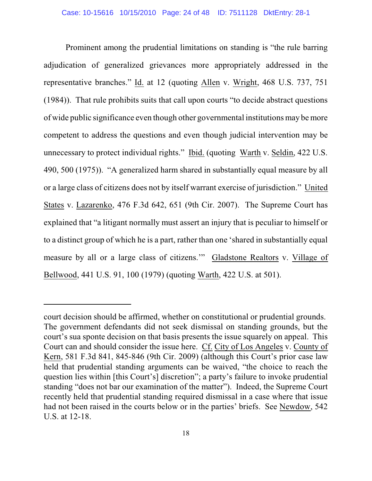Prominent among the prudential limitations on standing is "the rule barring adjudication of generalized grievances more appropriately addressed in the representative branches." Id. at 12 (quoting Allen v. Wright, 468 U.S. 737, 751 (1984)). That rule prohibits suits that call upon courts "to decide abstract questions of wide public significance even though other governmental institutions may be more competent to address the questions and even though judicial intervention may be unnecessary to protect individual rights." Ibid. (quoting Warth v. Seldin, 422 U.S. 490, 500 (1975)). "A generalized harm shared in substantially equal measure by all or a large class of citizens does not by itself warrant exercise of jurisdiction." United States v. Lazarenko, 476 F.3d 642, 651 (9th Cir. 2007). The Supreme Court has explained that "a litigant normally must assert an injury that is peculiar to himself or to a distinct group of which he is a part, rather than one 'shared in substantially equal measure by all or a large class of citizens.'" Gladstone Realtors v. Village of Bellwood, 441 U.S. 91, 100 (1979) (quoting Warth, 422 U.S. at 501).

court decision should be affirmed, whether on constitutional or prudential grounds. The government defendants did not seek dismissal on standing grounds, but the court's sua sponte decision on that basis presents the issue squarely on appeal. This Court can and should consider the issue here. Cf. City of Los Angeles v. County of Kern, 581 F.3d 841, 845-846 (9th Cir. 2009) (although this Court's prior case law held that prudential standing arguments can be waived, "the choice to reach the question lies within [this Court's] discretion"; a party's failure to invoke prudential standing "does not bar our examination of the matter"). Indeed, the Supreme Court recently held that prudential standing required dismissal in a case where that issue had not been raised in the courts below or in the parties' briefs. See Newdow, 542 U.S. at 12-18.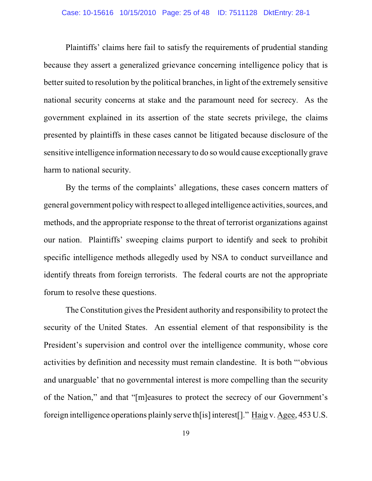### Case: 10-15616 10/15/2010 Page: 25 of 48 ID: 7511128 DktEntry: 28-1

Plaintiffs' claims here fail to satisfy the requirements of prudential standing because they assert a generalized grievance concerning intelligence policy that is better suited to resolution by the political branches, in light of the extremely sensitive national security concerns at stake and the paramount need for secrecy. As the government explained in its assertion of the state secrets privilege, the claims presented by plaintiffs in these cases cannot be litigated because disclosure of the sensitive intelligence information necessary to do so would cause exceptionally grave harm to national security.

By the terms of the complaints' allegations, these cases concern matters of general government policywith respect to alleged intelligence activities, sources, and methods, and the appropriate response to the threat of terrorist organizations against our nation. Plaintiffs' sweeping claims purport to identify and seek to prohibit specific intelligence methods allegedly used by NSA to conduct surveillance and identify threats from foreign terrorists. The federal courts are not the appropriate forum to resolve these questions.

The Constitution gives the President authority and responsibility to protect the security of the United States. An essential element of that responsibility is the President's supervision and control over the intelligence community, whose core activities by definition and necessity must remain clandestine. It is both "'obvious and unarguable' that no governmental interest is more compelling than the security of the Nation," and that "[m]easures to protect the secrecy of our Government's foreign intelligence operations plainly serve th[is] interest[]." Haig v. Agee, 453 U.S.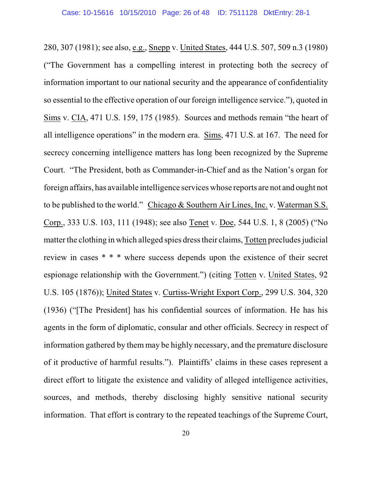280, 307 (1981); see also, e.g., Snepp v. United States, 444 U.S. 507, 509 n.3 (1980) ("The Government has a compelling interest in protecting both the secrecy of information important to our national security and the appearance of confidentiality so essential to the effective operation of our foreign intelligence service."), quoted in Sims v. CIA, 471 U.S. 159, 175 (1985). Sources and methods remain "the heart of all intelligence operations" in the modern era. Sims, 471 U.S. at 167. The need for secrecy concerning intelligence matters has long been recognized by the Supreme Court. "The President, both as Commander-in-Chief and as the Nation's organ for foreign affairs, has available intelligence services whose reports are not and ought not to be published to the world." Chicago & Southern Air Lines, Inc. v. Waterman S.S. Corp., 333 U.S. 103, 111 (1948); see also Tenet v. Doe, 544 U.S. 1, 8 (2005) ("No matter the clothing in which alleged spies dress their claims, Totten precludes judicial review in cases \* \* \* where success depends upon the existence of their secret espionage relationship with the Government.") (citing Totten v. United States, 92 U.S. 105 (1876)); United States v. Curtiss-Wright Export Corp., 299 U.S. 304, 320 (1936) ("[The President] has his confidential sources of information. He has his agents in the form of diplomatic, consular and other officials. Secrecy in respect of information gathered by them may be highly necessary, and the premature disclosure of it productive of harmful results."). Plaintiffs' claims in these cases represent a direct effort to litigate the existence and validity of alleged intelligence activities, sources, and methods, thereby disclosing highly sensitive national security information. That effort is contrary to the repeated teachings of the Supreme Court,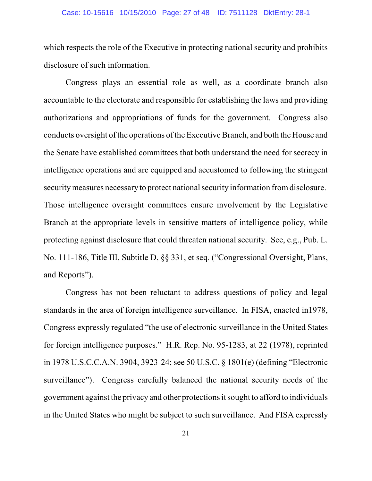### Case: 10-15616 10/15/2010 Page: 27 of 48 ID: 7511128 DktEntry: 28-1

which respects the role of the Executive in protecting national security and prohibits disclosure of such information.

Congress plays an essential role as well, as a coordinate branch also accountable to the electorate and responsible for establishing the laws and providing authorizations and appropriations of funds for the government. Congress also conducts oversight of the operations of the Executive Branch, and both the House and the Senate have established committees that both understand the need for secrecy in intelligence operations and are equipped and accustomed to following the stringent security measures necessary to protect national security information from disclosure. Those intelligence oversight committees ensure involvement by the Legislative Branch at the appropriate levels in sensitive matters of intelligence policy, while protecting against disclosure that could threaten national security. See, e.g., Pub. L. No. 111-186, Title III, Subtitle D, §§ 331, et seq. ("Congressional Oversight, Plans, and Reports").

Congress has not been reluctant to address questions of policy and legal standards in the area of foreign intelligence surveillance. In FISA, enacted in1978, Congress expressly regulated "the use of electronic surveillance in the United States for foreign intelligence purposes." H.R. Rep. No. 95-1283, at 22 (1978), reprinted in 1978 U.S.C.C.A.N. 3904, 3923-24; see 50 U.S.C. § 1801(e) (defining "Electronic surveillance"). Congress carefully balanced the national security needs of the government against the privacy and other protectionsitsought to afford to individuals in the United States who might be subject to such surveillance. And FISA expressly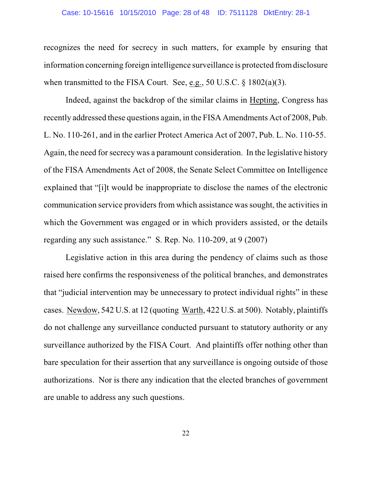### Case: 10-15616 10/15/2010 Page: 28 of 48 ID: 7511128 DktEntry: 28-1

recognizes the need for secrecy in such matters, for example by ensuring that information concerning foreign intelligence surveillance is protected fromdisclosure when transmitted to the FISA Court. See, e.g., 50 U.S.C. § 1802(a)(3).

Indeed, against the backdrop of the similar claims in Hepting, Congress has recently addressed these questions again, in the FISA Amendments Act of 2008, Pub. L. No. 110-261, and in the earlier Protect America Act of 2007, Pub. L. No. 110-55. Again, the need for secrecy was a paramount consideration. In the legislative history of the FISA Amendments Act of 2008, the Senate Select Committee on Intelligence explained that "[i]t would be inappropriate to disclose the names of the electronic communication service providers from which assistance wassought, the activities in which the Government was engaged or in which providers assisted, or the details regarding any such assistance." S. Rep. No. 110-209, at 9 (2007)

Legislative action in this area during the pendency of claims such as those raised here confirms the responsiveness of the political branches, and demonstrates that "judicial intervention may be unnecessary to protect individual rights" in these cases. Newdow, 542 U.S. at 12 (quoting Warth, 422 U.S. at 500). Notably, plaintiffs do not challenge any surveillance conducted pursuant to statutory authority or any surveillance authorized by the FISA Court. And plaintiffs offer nothing other than bare speculation for their assertion that any surveillance is ongoing outside of those authorizations. Nor is there any indication that the elected branches of government are unable to address any such questions.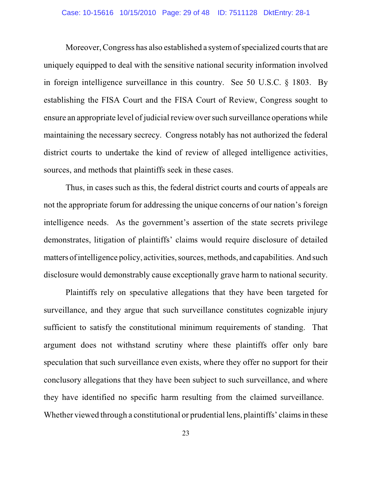### Case: 10-15616 10/15/2010 Page: 29 of 48 ID: 7511128 DktEntry: 28-1

Moreover, Congress has also established a system of specialized courts that are uniquely equipped to deal with the sensitive national security information involved in foreign intelligence surveillance in this country. See 50 U.S.C. § 1803. By establishing the FISA Court and the FISA Court of Review, Congress sought to ensure an appropriate level of judicial review over such surveillance operations while maintaining the necessary secrecy. Congress notably has not authorized the federal district courts to undertake the kind of review of alleged intelligence activities, sources, and methods that plaintiffs seek in these cases.

Thus, in cases such as this, the federal district courts and courts of appeals are not the appropriate forum for addressing the unique concerns of our nation's foreign intelligence needs. As the government's assertion of the state secrets privilege demonstrates, litigation of plaintiffs' claims would require disclosure of detailed matters of intelligence policy, activities, sources, methods, and capabilities. And such disclosure would demonstrably cause exceptionally grave harm to national security.

Plaintiffs rely on speculative allegations that they have been targeted for surveillance, and they argue that such surveillance constitutes cognizable injury sufficient to satisfy the constitutional minimum requirements of standing. That argument does not withstand scrutiny where these plaintiffs offer only bare speculation that such surveillance even exists, where they offer no support for their conclusory allegations that they have been subject to such surveillance, and where they have identified no specific harm resulting from the claimed surveillance. Whether viewed through a constitutional or prudential lens, plaintiffs' claims in these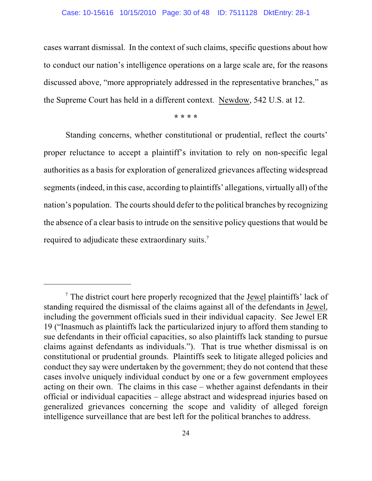#### Case: 10-15616 10/15/2010 Page: 30 of 48 ID: 7511128 DktEntry: 28-1

cases warrant dismissal. In the context of such claims, specific questions about how to conduct our nation's intelligence operations on a large scale are, for the reasons discussed above, "more appropriately addressed in the representative branches," as the Supreme Court has held in a different context. Newdow, 542 U.S. at 12.

**\* \* \* \***

Standing concerns, whether constitutional or prudential, reflect the courts' proper reluctance to accept a plaintiff's invitation to rely on non-specific legal authorities as a basis for exploration of generalized grievances affecting widespread segments(indeed, in this case, according to plaintiffs' allegations, virtually all) of the nation's population. The courts should defer to the political branches by recognizing the absence of a clear basis to intrude on the sensitive policy questions that would be required to adjudicate these extraordinary suits.<sup>7</sup>

The district court here properly recognized that the **Jewel plaintiffs**' lack of standing required the dismissal of the claims against all of the defendants in Jewel, including the government officials sued in their individual capacity. See Jewel ER 19 ("Inasmuch as plaintiffs lack the particularized injury to afford them standing to sue defendants in their official capacities, so also plaintiffs lack standing to pursue claims against defendants as individuals."). That is true whether dismissal is on constitutional or prudential grounds. Plaintiffs seek to litigate alleged policies and conduct they say were undertaken by the government; they do not contend that these cases involve uniquely individual conduct by one or a few government employees acting on their own. The claims in this case – whether against defendants in their official or individual capacities – allege abstract and widespread injuries based on generalized grievances concerning the scope and validity of alleged foreign intelligence surveillance that are best left for the political branches to address.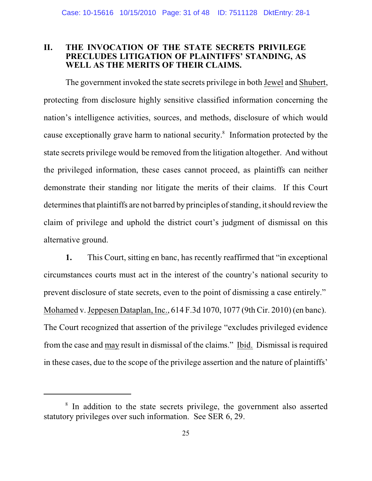# **II. THE INVOCATION OF THE STATE SECRETS PRIVILEGE PRECLUDES LITIGATION OF PLAINTIFFS' STANDING, AS WELL AS THE MERITS OF THEIR CLAIMS.**

The government invoked the state secrets privilege in both Jewel and Shubert, protecting from disclosure highly sensitive classified information concerning the nation's intelligence activities, sources, and methods, disclosure of which would cause exceptionally grave harm to national security.<sup>8</sup> Information protected by the state secrets privilege would be removed from the litigation altogether. And without the privileged information, these cases cannot proceed, as plaintiffs can neither demonstrate their standing nor litigate the merits of their claims. If this Court determines that plaintiffs are not barred by principles of standing, it should review the claim of privilege and uphold the district court's judgment of dismissal on this alternative ground.

**1.** This Court, sitting en banc, has recently reaffirmed that "in exceptional circumstances courts must act in the interest of the country's national security to prevent disclosure of state secrets, even to the point of dismissing a case entirely." Mohamed v. Jeppesen Dataplan, Inc., 614 F.3d 1070, 1077 (9th Cir. 2010) (en banc). The Court recognized that assertion of the privilege "excludes privileged evidence from the case and may result in dismissal of the claims." Ibid. Dismissal is required in these cases, due to the scope of the privilege assertion and the nature of plaintiffs'

<sup>&</sup>lt;sup>8</sup> In addition to the state secrets privilege, the government also asserted statutory privileges over such information. See SER 6, 29.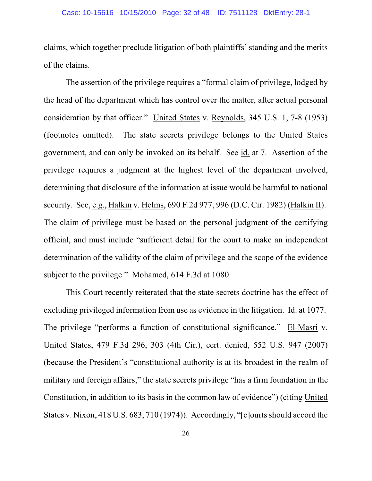claims, which together preclude litigation of both plaintiffs' standing and the merits of the claims.

The assertion of the privilege requires a "formal claim of privilege, lodged by the head of the department which has control over the matter, after actual personal consideration by that officer." United States v. Reynolds, 345 U.S. 1, 7-8 (1953) (footnotes omitted). The state secrets privilege belongs to the United States government, and can only be invoked on its behalf. See id. at 7. Assertion of the privilege requires a judgment at the highest level of the department involved, determining that disclosure of the information at issue would be harmful to national security. See, e.g., Halkin v. Helms, 690 F.2d 977, 996 (D.C. Cir. 1982) (Halkin II). The claim of privilege must be based on the personal judgment of the certifying official, and must include "sufficient detail for the court to make an independent determination of the validity of the claim of privilege and the scope of the evidence subject to the privilege." Mohamed, 614 F.3d at 1080.

This Court recently reiterated that the state secrets doctrine has the effect of excluding privileged information from use as evidence in the litigation. Id. at 1077. The privilege "performs a function of constitutional significance." El-Masri v. United States, 479 F.3d 296, 303 (4th Cir.), cert. denied, 552 U.S. 947 (2007) (because the President's "constitutional authority is at its broadest in the realm of military and foreign affairs," the state secrets privilege "has a firm foundation in the Constitution, in addition to its basis in the common law of evidence") (citing United States v. Nixon,  $418$  U.S.  $683$ ,  $710(1974)$ ). Accordingly, "[c]ourts should accord the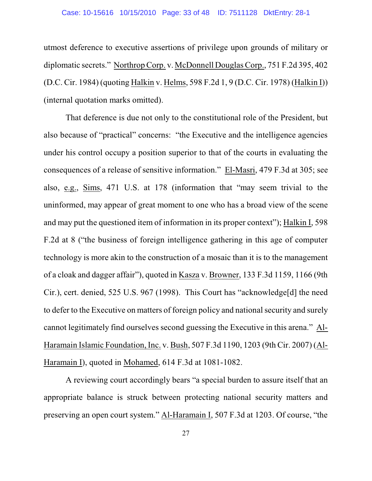## Case: 10-15616 10/15/2010 Page: 33 of 48 ID: 7511128 DktEntry: 28-1

utmost deference to executive assertions of privilege upon grounds of military or diplomatic secrets." Northrop Corp. v. McDonnell Douglas Corp., 751 F.2d 395, 402 (D.C. Cir. 1984) (quoting Halkin v. Helms, 598 F.2d 1, 9 (D.C. Cir. 1978) (Halkin I)) (internal quotation marks omitted).

That deference is due not only to the constitutional role of the President, but also because of "practical" concerns: "the Executive and the intelligence agencies under his control occupy a position superior to that of the courts in evaluating the consequences of a release of sensitive information." El-Masri, 479 F.3d at 305; see also, e.g., Sims, 471 U.S. at 178 (information that "may seem trivial to the uninformed, may appear of great moment to one who has a broad view of the scene and may put the questioned item of information in its proper context"); Halkin I, 598 F.2d at 8 ("the business of foreign intelligence gathering in this age of computer technology is more akin to the construction of a mosaic than it is to the management of a cloak and dagger affair"), quoted in Kasza v. Browner, 133 F.3d 1159, 1166 (9th Cir.), cert. denied, 525 U.S. 967 (1998). This Court has "acknowledge[d] the need to defer to the Executive on matters of foreign policy and national security and surely cannot legitimately find ourselves second guessing the Executive in this arena." Al-Haramain Islamic Foundation, Inc. v. Bush, 507 F.3d 1190, 1203 (9th Cir. 2007) (Al-Haramain I), quoted in Mohamed, 614 F.3d at 1081-1082.

A reviewing court accordingly bears "a special burden to assure itself that an appropriate balance is struck between protecting national security matters and preserving an open court system." Al-Haramain I, 507 F.3d at 1203. Of course, "the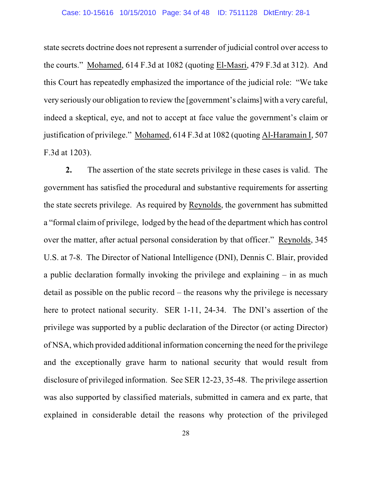#### Case: 10-15616 10/15/2010 Page: 34 of 48 ID: 7511128 DktEntry: 28-1

state secrets doctrine does not represent a surrender of judicial control over access to the courts." Mohamed, 614 F.3d at 1082 (quoting El-Masri, 479 F.3d at 312). And this Court has repeatedly emphasized the importance of the judicial role: "We take very seriously our obligation to review the [government's claims] with a very careful, indeed a skeptical, eye, and not to accept at face value the government's claim or justification of privilege." Mohamed, 614 F.3d at 1082 (quoting Al-Haramain I, 507 F.3d at 1203).

**2.** The assertion of the state secrets privilege in these cases is valid. The government has satisfied the procedural and substantive requirements for asserting the state secrets privilege. As required by Reynolds, the government has submitted a "formal claim of privilege, lodged by the head of the department which has control over the matter, after actual personal consideration by that officer." Reynolds, 345 U.S. at 7-8. The Director of National Intelligence (DNI), Dennis C. Blair, provided a public declaration formally invoking the privilege and explaining – in as much detail as possible on the public record – the reasons why the privilege is necessary here to protect national security. SER 1-11, 24-34. The DNI's assertion of the privilege was supported by a public declaration of the Director (or acting Director) of NSA, which provided additional information concerning the need for the privilege and the exceptionally grave harm to national security that would result from disclosure of privileged information. See SER 12-23, 35-48. The privilege assertion was also supported by classified materials, submitted in camera and ex parte, that explained in considerable detail the reasons why protection of the privileged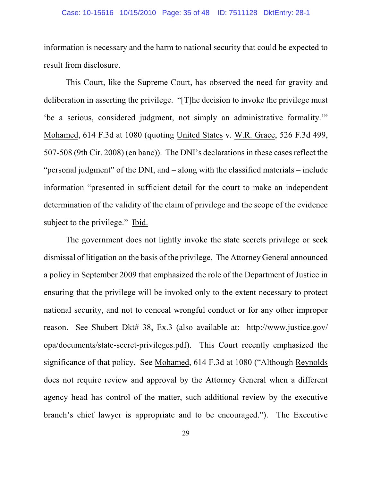#### Case: 10-15616 10/15/2010 Page: 35 of 48 ID: 7511128 DktEntry: 28-1

information is necessary and the harm to national security that could be expected to result from disclosure.

This Court, like the Supreme Court, has observed the need for gravity and deliberation in asserting the privilege. "[T]he decision to invoke the privilege must 'be a serious, considered judgment, not simply an administrative formality.'" Mohamed, 614 F.3d at 1080 (quoting United States v. W.R. Grace, 526 F.3d 499, 507-508 (9th Cir. 2008) (en banc)). The DNI's declarations in these cases reflect the "personal judgment" of the DNI, and – along with the classified materials – include information "presented in sufficient detail for the court to make an independent determination of the validity of the claim of privilege and the scope of the evidence subject to the privilege." Ibid.

The government does not lightly invoke the state secrets privilege or seek dismissal of litigation on the basis of the privilege. The Attorney General announced a policy in September 2009 that emphasized the role of the Department of Justice in ensuring that the privilege will be invoked only to the extent necessary to protect national security, and not to conceal wrongful conduct or for any other improper reason. See Shubert Dkt# 38, Ex.3 (also available at: http://www.justice.gov/ opa/documents/state-secret-privileges.pdf). This Court recently emphasized the significance of that policy. See Mohamed, 614 F.3d at 1080 ("Although Reynolds does not require review and approval by the Attorney General when a different agency head has control of the matter, such additional review by the executive branch's chief lawyer is appropriate and to be encouraged."). The Executive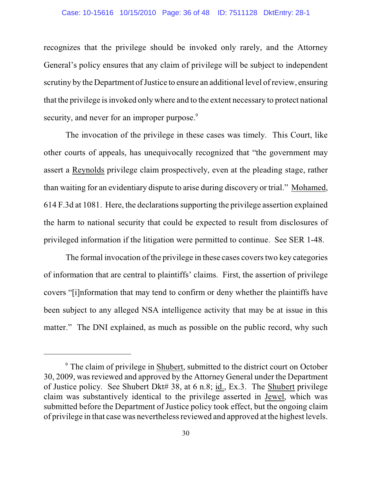#### Case: 10-15616 10/15/2010 Page: 36 of 48 ID: 7511128 DktEntry: 28-1

recognizes that the privilege should be invoked only rarely, and the Attorney General's policy ensures that any claim of privilege will be subject to independent scrutiny by the Department of Justice to ensure an additional level of review, ensuring that the privilege is invoked only where and to the extent necessary to protect national security, and never for an improper purpose.<sup>9</sup>

The invocation of the privilege in these cases was timely. This Court, like other courts of appeals, has unequivocally recognized that "the government may assert a Reynolds privilege claim prospectively, even at the pleading stage, rather than waiting for an evidentiary dispute to arise during discovery or trial." Mohamed, 614 F.3d at 1081. Here, the declarationssupporting the privilege assertion explained the harm to national security that could be expected to result from disclosures of privileged information if the litigation were permitted to continue. See SER 1-48.

The formal invocation of the privilege in these cases covers two key categories of information that are central to plaintiffs' claims. First, the assertion of privilege covers "[i]nformation that may tend to confirm or deny whether the plaintiffs have been subject to any alleged NSA intelligence activity that may be at issue in this matter." The DNI explained, as much as possible on the public record, why such

<sup>&</sup>lt;sup>9</sup> The claim of privilege in Shubert, submitted to the district court on October 30, 2009, wasreviewed and approved by the Attorney General under the Department of Justice policy. See Shubert Dkt# 38, at 6 n.8; id., Ex.3. The Shubert privilege claim was substantively identical to the privilege asserted in Jewel, which was submitted before the Department of Justice policy took effect, but the ongoing claim of privilege in that case was nevertheless reviewed and approved at the highest levels.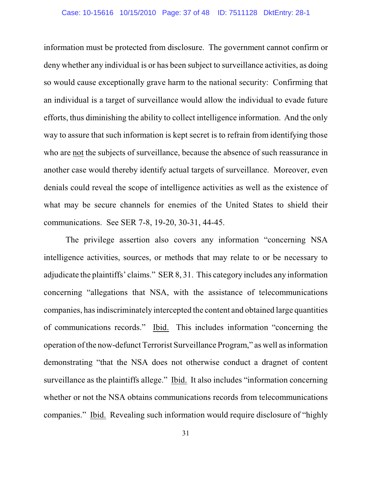### Case: 10-15616 10/15/2010 Page: 37 of 48 ID: 7511128 DktEntry: 28-1

information must be protected from disclosure. The government cannot confirm or deny whether any individual is or has been subject to surveillance activities, as doing so would cause exceptionally grave harm to the national security: Confirming that an individual is a target of surveillance would allow the individual to evade future efforts, thus diminishing the ability to collect intelligence information. And the only way to assure that such information is kept secret is to refrain from identifying those who are not the subjects of surveillance, because the absence of such reassurance in another case would thereby identify actual targets of surveillance. Moreover, even denials could reveal the scope of intelligence activities as well as the existence of what may be secure channels for enemies of the United States to shield their communications. See SER 7-8, 19-20, 30-31, 44-45.

The privilege assertion also covers any information "concerning NSA intelligence activities, sources, or methods that may relate to or be necessary to adjudicate the plaintiffs' claims." SER 8, 31. This category includes any information concerning "allegations that NSA, with the assistance of telecommunications companies, has indiscriminately intercepted the content and obtained large quantities of communications records." Ibid. This includes information "concerning the operation ofthe now-defunct Terrorist Surveillance Program," as well asinformation demonstrating "that the NSA does not otherwise conduct a dragnet of content surveillance as the plaintiffs allege." Ibid. It also includes "information concerning whether or not the NSA obtains communications records from telecommunications companies." Ibid. Revealing such information would require disclosure of "highly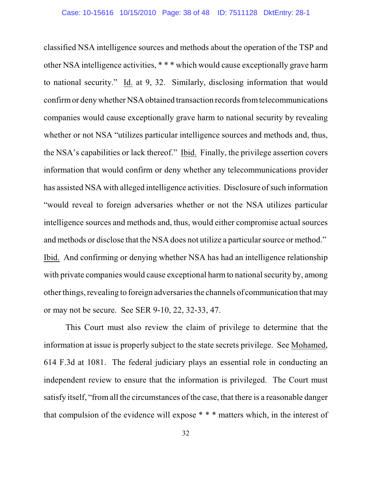classified NSA intelligence sources and methods about the operation of the TSP and other NSA intelligence activities, \* \* \* which would cause exceptionally grave harm to national security." Id. at 9, 32. Similarly, disclosing information that would confirm or deny whether NSA obtained transaction records fromtelecommunications companies would cause exceptionally grave harm to national security by revealing whether or not NSA "utilizes particular intelligence sources and methods and, thus, the NSA's capabilities or lack thereof." Ibid. Finally, the privilege assertion covers information that would confirm or deny whether any telecommunications provider has assisted NSA with alleged intelligence activities. Disclosure of such information "would reveal to foreign adversaries whether or not the NSA utilizes particular intelligence sources and methods and, thus, would either compromise actual sources and methods or disclose that the NSA does not utilize a particular source or method." Ibid. And confirming or denying whether NSA has had an intelligence relationship with private companies would cause exceptional harm to national security by, among other things, revealing to foreign adversariesthe channels of communication thatmay or may not be secure. See SER 9-10, 22, 32-33, 47.

This Court must also review the claim of privilege to determine that the information at issue is properly subject to the state secrets privilege. See Mohamed, 614 F.3d at 1081. The federal judiciary plays an essential role in conducting an independent review to ensure that the information is privileged. The Court must satisfy itself, "from all the circumstances of the case, that there is a reasonable danger that compulsion of the evidence will expose \* \* \* matters which, in the interest of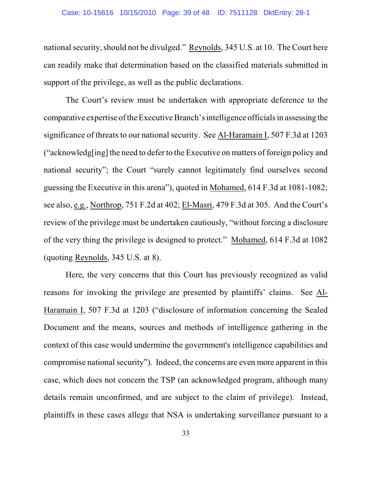#### Case: 10-15616 10/15/2010 Page: 39 of 48 ID: 7511128 DktEntry: 28-1

national security, should not be divulged." Reynolds, 345 U.S. at 10. The Court here can readily make that determination based on the classified materials submitted in support of the privilege, as well as the public declarations.

The Court's review must be undertaken with appropriate deference to the comparative expertise of the Executive Branch's intelligence officials in assessing the significance of threats to our national security. See Al-Haramain I, 507 F.3d at 1203 ("acknowledg[ing] the need to defer to the Executive on matters of foreign policy and national security"; the Court "surely cannot legitimately find ourselves second guessing the Executive in this arena"), quoted in Mohamed, 614 F.3d at 1081-1082; see also, e.g., Northrop, 751 F.2d at 402; El-Masri, 479 F.3d at 305. And the Court's review of the privilege must be undertaken cautiously, "without forcing a disclosure of the very thing the privilege is designed to protect." Mohamed, 614 F.3d at 1082 (quoting Reynolds, 345 U.S. at 8).

Here, the very concerns that this Court has previously recognized as valid reasons for invoking the privilege are presented by plaintiffs' claims. See Al-Haramain I, 507 F.3d at 1203 ("disclosure of information concerning the Sealed Document and the means, sources and methods of intelligence gathering in the context of this case would undermine the government's intelligence capabilities and compromise national security"). Indeed, the concerns are even more apparent in this case, which does not concern the TSP (an acknowledged program, although many details remain unconfirmed, and are subject to the claim of privilege). Instead, plaintiffs in these cases allege that NSA is undertaking surveillance pursuant to a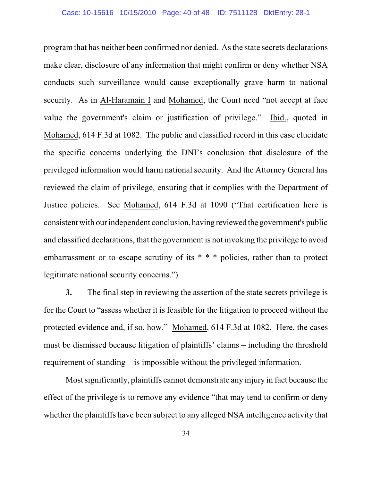program that has neither been confirmed nor denied. As the state secrets declarations make clear, disclosure of any information that might confirm or deny whether NSA conducts such surveillance would cause exceptionally grave harm to national security. As in Al-Haramain I and Mohamed, the Court need "not accept at face value the government's claim or justification of privilege." Ibid., quoted in Mohamed, 614 F.3d at 1082. The public and classified record in this case elucidate the specific concerns underlying the DNI's conclusion that disclosure of the privileged information would harm national security. And the Attorney General has reviewed the claim of privilege, ensuring that it complies with the Department of Justice policies. See Mohamed, 614 F.3d at 1090 ("That certification here is consistent with our independent conclusion, having reviewed the government's public and classified declarations, that the government is not invoking the privilege to avoid embarrassment or to escape scrutiny of its \* \* \* policies, rather than to protect legitimate national security concerns.").

**3.** The final step in reviewing the assertion of the state secrets privilege is for the Court to "assess whether it is feasible for the litigation to proceed without the protected evidence and, if so, how." Mohamed, 614 F.3d at 1082. Here, the cases must be dismissed because litigation of plaintiffs' claims – including the threshold requirement of standing – is impossible without the privileged information.

Mostsignificantly, plaintiffs cannot demonstrate any injury in fact because the effect of the privilege is to remove any evidence "that may tend to confirm or deny whether the plaintiffs have been subject to any alleged NSA intelligence activity that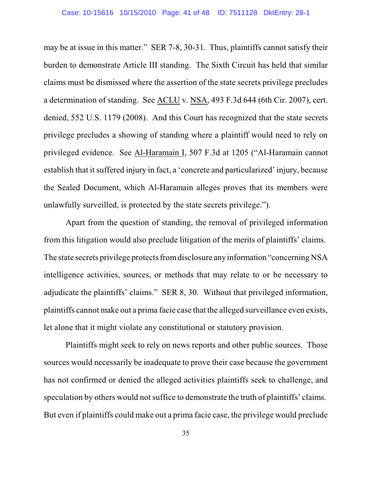may be at issue in this matter." SER 7-8, 30-31. Thus, plaintiffs cannot satisfy their burden to demonstrate Article III standing. The Sixth Circuit has held that similar claims must be dismissed where the assertion of the state secrets privilege precludes a determination of standing. See ACLU v. NSA, 493 F.3d 644 (6th Cir. 2007), cert. denied, 552 U.S. 1179 (2008). And this Court has recognized that the state secrets privilege precludes a showing of standing where a plaintiff would need to rely on privileged evidence. See Al-Haramain I, 507 F.3d at 1205 ("Al-Haramain cannot establish that it suffered injury in fact, a 'concrete and particularized' injury, because the Sealed Document, which Al-Haramain alleges proves that its members were unlawfully surveilled, is protected by the state secrets privilege.").

Apart from the question of standing, the removal of privileged information from this litigation would also preclude litigation of the merits of plaintiffs' claims. The state secrets privilege protects fromdisclosure any information "concerning NSA intelligence activities, sources, or methods that may relate to or be necessary to adjudicate the plaintiffs' claims." SER 8, 30. Without that privileged information, plaintiffs cannot make out a prima facie case that the alleged surveillance even exists, let alone that it might violate any constitutional or statutory provision.

Plaintiffs might seek to rely on news reports and other public sources. Those sources would necessarily be inadequate to prove their case because the government has not confirmed or denied the alleged activities plaintiffs seek to challenge, and speculation by others would not suffice to demonstrate the truth of plaintiffs' claims. But even if plaintiffs could make out a prima facie case, the privilege would preclude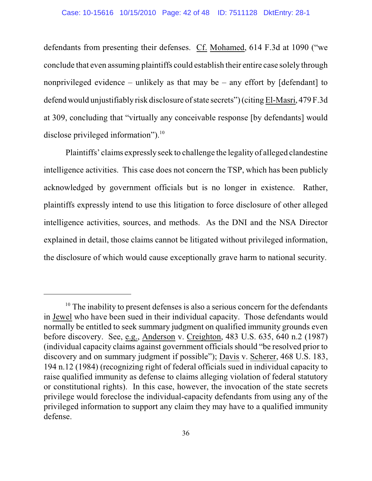defendants from presenting their defenses. Cf. Mohamed, 614 F.3d at 1090 ("we conclude that even assuming plaintiffs could establish their entire case solely through nonprivileged evidence – unlikely as that may be – any effort by  $\lceil$  defendant $\rceil$  to defend would unjustifiably risk disclosure of state secrets") (citing El-Masri, 479 F.3d at 309, concluding that "virtually any conceivable response [by defendants] would disclose privileged information").<sup>10</sup>

Plaintiffs' claims expresslyseek to challenge the legality of alleged clandestine intelligence activities. This case does not concern the TSP, which has been publicly acknowledged by government officials but is no longer in existence. Rather, plaintiffs expressly intend to use this litigation to force disclosure of other alleged intelligence activities, sources, and methods. As the DNI and the NSA Director explained in detail, those claims cannot be litigated without privileged information, the disclosure of which would cause exceptionally grave harm to national security.

 $10$  The inability to present defenses is also a serious concern for the defendants in Jewel who have been sued in their individual capacity. Those defendants would normally be entitled to seek summary judgment on qualified immunity grounds even before discovery. See, e.g., Anderson v. Creighton, 483 U.S. 635, 640 n.2 (1987) (individual capacity claims against government officialsshould "be resolved prior to discovery and on summary judgment if possible"); Davis v. Scherer, 468 U.S. 183, 194 n.12 (1984) (recognizing right of federal officials sued in individual capacity to raise qualified immunity as defense to claims alleging violation of federal statutory or constitutional rights). In this case, however, the invocation of the state secrets privilege would foreclose the individual-capacity defendants from using any of the privileged information to support any claim they may have to a qualified immunity defense.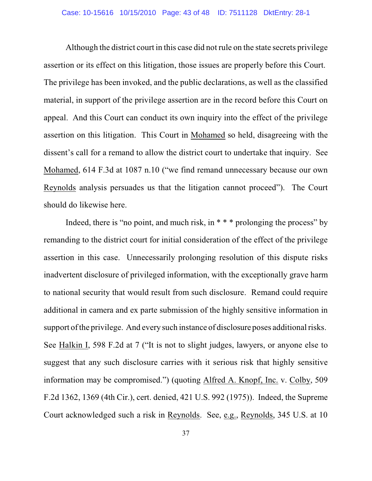#### Case: 10-15616 10/15/2010 Page: 43 of 48 ID: 7511128 DktEntry: 28-1

Although the district court in this case did not rule on the state secrets privilege assertion or its effect on this litigation, those issues are properly before this Court. The privilege has been invoked, and the public declarations, as well as the classified material, in support of the privilege assertion are in the record before this Court on appeal. And this Court can conduct its own inquiry into the effect of the privilege assertion on this litigation. This Court in Mohamed so held, disagreeing with the dissent's call for a remand to allow the district court to undertake that inquiry. See Mohamed, 614 F.3d at 1087 n.10 ("we find remand unnecessary because our own Reynolds analysis persuades us that the litigation cannot proceed"). The Court should do likewise here.

Indeed, there is "no point, and much risk, in  $***$  prolonging the process" by remanding to the district court for initial consideration of the effect of the privilege assertion in this case. Unnecessarily prolonging resolution of this dispute risks inadvertent disclosure of privileged information, with the exceptionally grave harm to national security that would result from such disclosure. Remand could require additional in camera and ex parte submission of the highly sensitive information in support of the privilege. And every such instance of disclosure poses additional risks. See Halkin I, 598 F.2d at 7 ("It is not to slight judges, lawyers, or anyone else to suggest that any such disclosure carries with it serious risk that highly sensitive information may be compromised.") (quoting Alfred A. Knopf, Inc. v. Colby, 509 F.2d 1362, 1369 (4th Cir.), cert. denied, 421 U.S. 992 (1975)). Indeed, the Supreme Court acknowledged such a risk in Reynolds. See, e.g., Reynolds, 345 U.S. at 10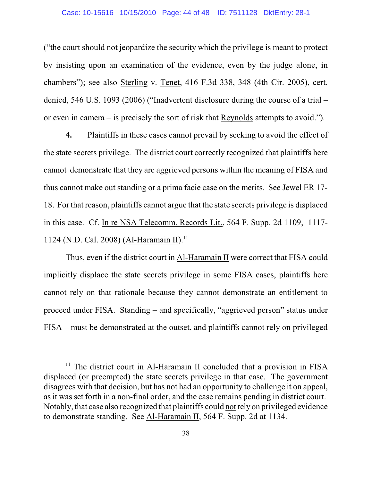#### Case: 10-15616 10/15/2010 Page: 44 of 48 ID: 7511128 DktEntry: 28-1

("the court should not jeopardize the security which the privilege is meant to protect by insisting upon an examination of the evidence, even by the judge alone, in chambers"); see also Sterling v. Tenet, 416 F.3d 338, 348 (4th Cir. 2005), cert. denied, 546 U.S. 1093 (2006) ("Inadvertent disclosure during the course of a trial – or even in camera – is precisely the sort of risk that Reynolds attempts to avoid.").

**4.** Plaintiffs in these cases cannot prevail by seeking to avoid the effect of the state secrets privilege. The district court correctly recognized that plaintiffs here cannot demonstrate that they are aggrieved persons within the meaning of FISA and thus cannot make out standing or a prima facie case on the merits. See Jewel ER 17- 18. For that reason, plaintiffs cannot argue that the state secrets privilege is displaced in this case. Cf. In re NSA Telecomm. Records Lit., 564 F. Supp. 2d 1109, 1117- 1124 (N.D. Cal. 2008) (Al-Haramain II).<sup>11</sup>

Thus, even if the district court in Al-Haramain II were correct that FISA could implicitly displace the state secrets privilege in some FISA cases, plaintiffs here cannot rely on that rationale because they cannot demonstrate an entitlement to proceed under FISA. Standing – and specifically, "aggrieved person" status under FISA – must be demonstrated at the outset, and plaintiffs cannot rely on privileged

 $11$  The district court in Al-Haramain II concluded that a provision in FISA displaced (or preempted) the state secrets privilege in that case. The government disagrees with that decision, but has not had an opportunity to challenge it on appeal, as it was set forth in a non-final order, and the case remains pending in district court. Notably, that case also recognized that plaintiffs could notrely on privileged evidence to demonstrate standing. See Al-Haramain II, 564 F. Supp. 2d at 1134.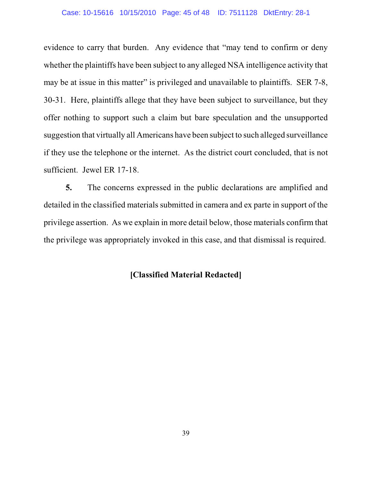### Case: 10-15616 10/15/2010 Page: 45 of 48 ID: 7511128 DktEntry: 28-1

evidence to carry that burden. Any evidence that "may tend to confirm or deny whether the plaintiffs have been subject to any alleged NSA intelligence activity that may be at issue in this matter" is privileged and unavailable to plaintiffs. SER 7-8, 30-31. Here, plaintiffs allege that they have been subject to surveillance, but they offer nothing to support such a claim but bare speculation and the unsupported suggestion that virtually all Americans have been subject to such alleged surveillance if they use the telephone or the internet. As the district court concluded, that is not sufficient. Jewel ER 17-18.

**5.** The concerns expressed in the public declarations are amplified and detailed in the classified materials submitted in camera and ex parte in support of the privilege assertion. As we explain in more detail below, those materials confirm that the privilege was appropriately invoked in this case, and that dismissal is required.

# **[Classified Material Redacted]**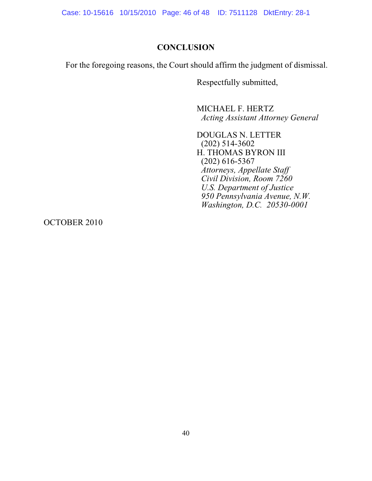Case: 10-15616 10/15/2010 Page: 46 of 48 ID: 7511128 DktEntry: 28-1

## **CONCLUSION**

For the foregoing reasons, the Court should affirm the judgment of dismissal.

Respectfully submitted,

MICHAEL F. HERTZ *Acting Assistant Attorney General*

DOUGLAS N. LETTER (202) 514-3602 H. THOMAS BYRON III (202) 616-5367 *Attorneys, Appellate Staff Civil Division, Room 7260 U.S. Department of Justice 950 Pennsylvania Avenue, N.W. Washington, D.C. 20530-0001*

OCTOBER 2010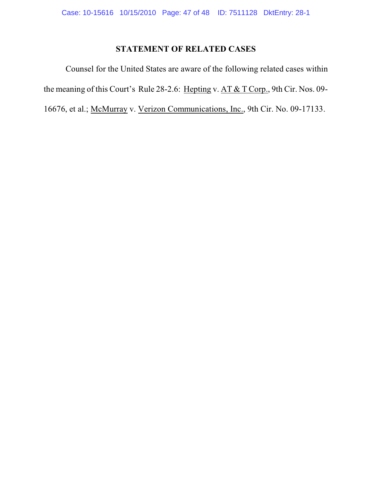# **STATEMENT OF RELATED CASES**

Counsel for the United States are aware of the following related cases within the meaning of this Court's Rule 28-2.6: Hepting v. AT & T Corp., 9th Cir. Nos. 09-16676, et al.; McMurray v. Verizon Communications, Inc., 9th Cir. No. 09-17133.